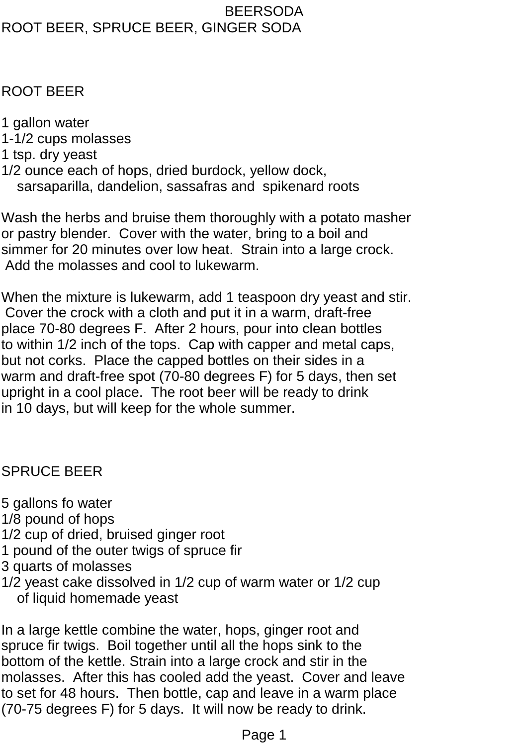#### BEERSODA ROOT BEER, SPRUCE BEER, GINGER SODA

# ROOT BEER

- 1 gallon water
- 1-1/2 cups molasses
- 1 tsp. dry yeast
- 1/2 ounce each of hops, dried burdock, yellow dock, sarsaparilla, dandelion, sassafras and spikenard roots

Wash the herbs and bruise them thoroughly with a potato masher or pastry blender. Cover with the water, bring to a boil and simmer for 20 minutes over low heat. Strain into a large crock. Add the molasses and cool to lukewarm.

When the mixture is lukewarm, add 1 teaspoon dry yeast and stir. Cover the crock with a cloth and put it in a warm, draft-free place 70-80 degrees F. After 2 hours, pour into clean bottles to within 1/2 inch of the tops. Cap with capper and metal caps, but not corks. Place the capped bottles on their sides in a warm and draft-free spot (70-80 degrees F) for 5 days, then set upright in a cool place. The root beer will be ready to drink in 10 days, but will keep for the whole summer.

# SPRUCE BEER

- 5 gallons fo water
- 1/8 pound of hops
- 1/2 cup of dried, bruised ginger root
- 1 pound of the outer twigs of spruce fir
- 3 quarts of molasses
- 1/2 yeast cake dissolved in 1/2 cup of warm water or 1/2 cup of liquid homemade yeast

In a large kettle combine the water, hops, ginger root and spruce fir twigs. Boil together until all the hops sink to the bottom of the kettle. Strain into a large crock and stir in the molasses. After this has cooled add the yeast. Cover and leave to set for 48 hours. Then bottle, cap and leave in a warm place (70-75 degrees F) for 5 days. It will now be ready to drink.